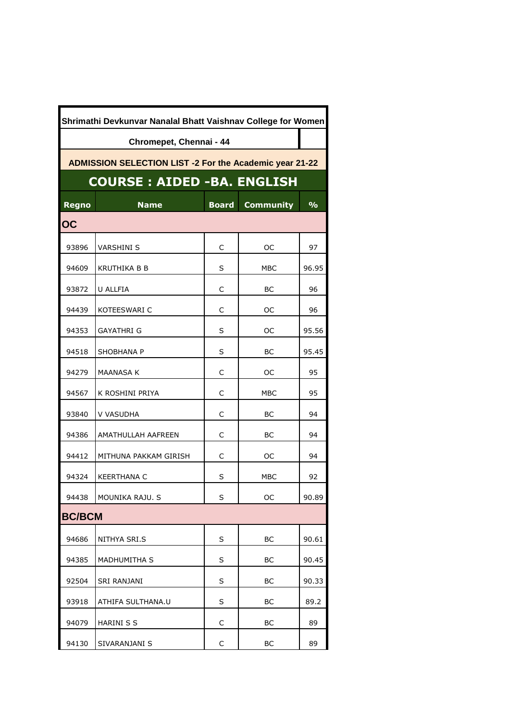| Shrimathi Devkunvar Nanalal Bhatt Vaishnav College for Women   |                                    |              |                  |               |  |  |
|----------------------------------------------------------------|------------------------------------|--------------|------------------|---------------|--|--|
| Chromepet, Chennai - 44                                        |                                    |              |                  |               |  |  |
| <b>ADMISSION SELECTION LIST -2 For the Academic year 21-22</b> |                                    |              |                  |               |  |  |
|                                                                | <b>COURSE : AIDED -BA. ENGLISH</b> |              |                  |               |  |  |
| <b>Regno</b>                                                   | <b>Name</b>                        | <b>Board</b> | <b>Community</b> | $\frac{9}{6}$ |  |  |
| <b>OC</b>                                                      |                                    |              |                  |               |  |  |
| 93896                                                          | VARSHINI S                         | C            | OС               | 97            |  |  |
| 94609                                                          | KRUTHIKA B B                       | S            | MBC              | 96.95         |  |  |
| 93872                                                          | U ALLFIA                           | C            | BС               | 96            |  |  |
| 94439                                                          | KOTEESWARI C                       | C            | OС               | 96            |  |  |
| 94353                                                          | GAYATHRI G                         | S            | OС               | 95.56         |  |  |
| 94518                                                          | SHOBHANA P                         | S            | BС               | 95.45         |  |  |
| 94279                                                          | <b>MAANASA K</b>                   | C            | OС               | 95            |  |  |
| 94567                                                          | K ROSHINI PRIYA                    | C            | <b>MBC</b>       | 95            |  |  |
| 93840                                                          | V VASUDHA                          | C            | BС               | 94            |  |  |
| 94386                                                          | AMATHULLAH AAFREEN                 | C            | BС               | 94            |  |  |
| 94412                                                          | MITHUNA PAKKAM GIRISH              | C            | OС               | 94            |  |  |
| 94324                                                          | <b>KEERTHANA C</b>                 | S            | МВС              | 92            |  |  |
| 94438                                                          | MOUNIKA RAJU. S                    | S            | OС               | 90.89         |  |  |
| <b>BC/BCM</b>                                                  |                                    |              |                  |               |  |  |
| 94686                                                          | NITHYA SRI.S                       | S            | BС               | 90.61         |  |  |
| 94385                                                          | <b>MADHUMITHA S</b>                | S            | BС               | 90.45         |  |  |
| 92504                                                          | SRI RANJANI                        | S            | BС               | 90.33         |  |  |
| 93918                                                          | ATHIFA SULTHANA.U                  | S            | BС               | 89.2          |  |  |
| 94079                                                          | <b>HARINI S S</b>                  | C            | BС               | 89            |  |  |
| 94130                                                          | SIVARANJANI S                      | С            | <b>BC</b>        | 89            |  |  |